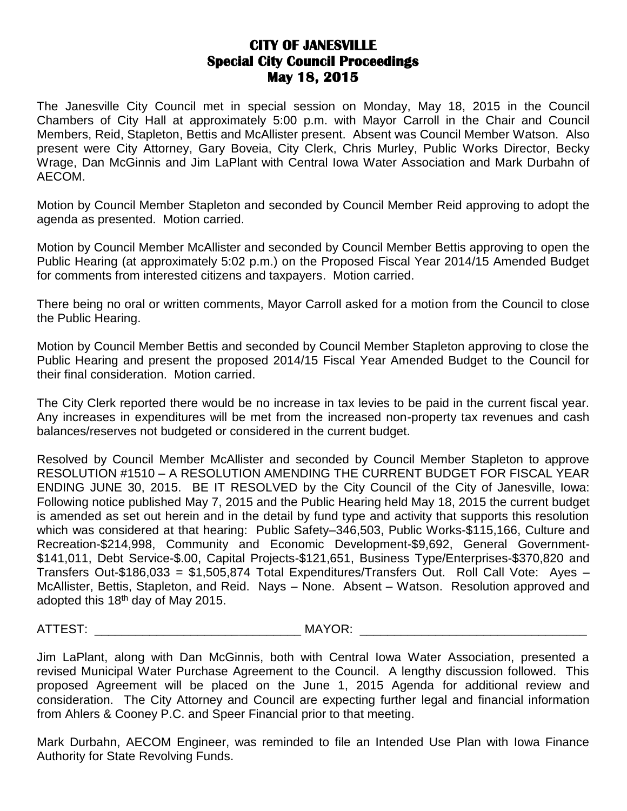## **CITY OF JANESVILLE Special City Council Proceedings May 18, 2015**

The Janesville City Council met in special session on Monday, May 18, 2015 in the Council Chambers of City Hall at approximately 5:00 p.m. with Mayor Carroll in the Chair and Council Members, Reid, Stapleton, Bettis and McAllister present. Absent was Council Member Watson. Also present were City Attorney, Gary Boveia, City Clerk, Chris Murley, Public Works Director, Becky Wrage, Dan McGinnis and Jim LaPlant with Central Iowa Water Association and Mark Durbahn of AECOM.

Motion by Council Member Stapleton and seconded by Council Member Reid approving to adopt the agenda as presented. Motion carried.

Motion by Council Member McAllister and seconded by Council Member Bettis approving to open the Public Hearing (at approximately 5:02 p.m.) on the Proposed Fiscal Year 2014/15 Amended Budget for comments from interested citizens and taxpayers. Motion carried.

There being no oral or written comments, Mayor Carroll asked for a motion from the Council to close the Public Hearing.

Motion by Council Member Bettis and seconded by Council Member Stapleton approving to close the Public Hearing and present the proposed 2014/15 Fiscal Year Amended Budget to the Council for their final consideration. Motion carried.

The City Clerk reported there would be no increase in tax levies to be paid in the current fiscal year. Any increases in expenditures will be met from the increased non-property tax revenues and cash balances/reserves not budgeted or considered in the current budget.

Resolved by Council Member McAllister and seconded by Council Member Stapleton to approve RESOLUTION #1510 – A RESOLUTION AMENDING THE CURRENT BUDGET FOR FISCAL YEAR ENDING JUNE 30, 2015. BE IT RESOLVED by the City Council of the City of Janesville, Iowa: Following notice published May 7, 2015 and the Public Hearing held May 18, 2015 the current budget is amended as set out herein and in the detail by fund type and activity that supports this resolution which was considered at that hearing: Public Safety–346,503, Public Works-\$115,166, Culture and Recreation-\$214,998, Community and Economic Development-\$9,692, General Government- \$141,011, Debt Service-\$.00, Capital Projects-\$121,651, Business Type/Enterprises-\$370,820 and Transfers Out-\$186,033 = \$1,505,874 Total Expenditures/Transfers Out. Roll Call Vote: Ayes – McAllister, Bettis, Stapleton, and Reid. Nays – None. Absent – Watson. Resolution approved and adopted this  $18<sup>th</sup>$  day of May 2015.

ATTEST: \_\_\_\_\_\_\_\_\_\_\_\_\_\_\_\_\_\_\_\_\_\_\_\_\_\_\_\_\_\_ MAYOR: \_\_\_\_\_\_\_\_\_\_\_\_\_\_\_\_\_\_\_\_\_\_\_\_\_\_\_\_\_\_\_\_\_

Jim LaPlant, along with Dan McGinnis, both with Central Iowa Water Association, presented a revised Municipal Water Purchase Agreement to the Council. A lengthy discussion followed. This proposed Agreement will be placed on the June 1, 2015 Agenda for additional review and consideration. The City Attorney and Council are expecting further legal and financial information from Ahlers & Cooney P.C. and Speer Financial prior to that meeting.

Mark Durbahn, AECOM Engineer, was reminded to file an Intended Use Plan with Iowa Finance Authority for State Revolving Funds.